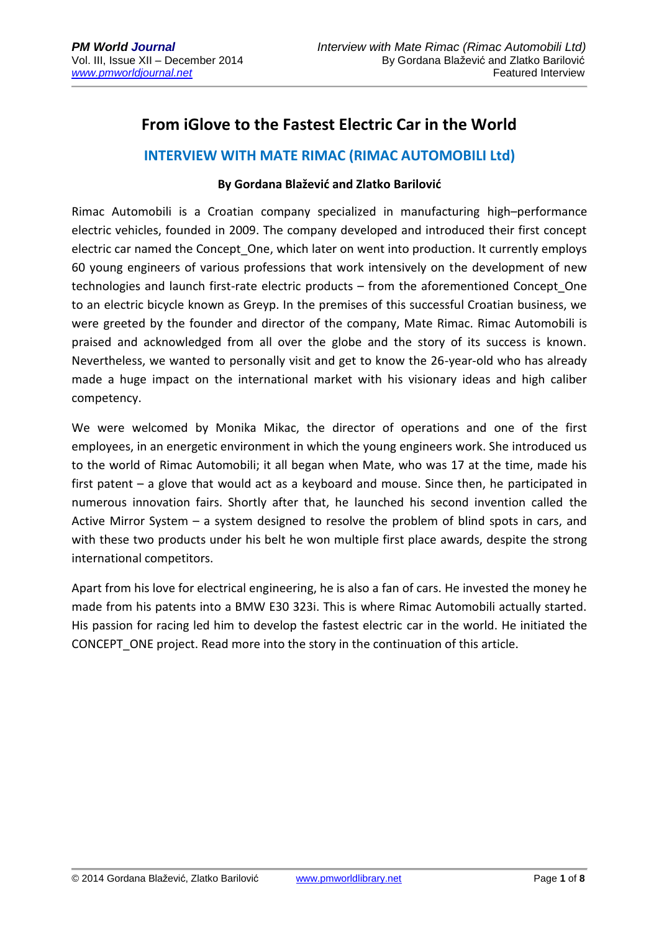# **From iGlove to the Fastest Electric Car in the World**

#### **INTERVIEW WITH MATE RIMAC (RIMAC AUTOMOBILI Ltd)**

#### **By Gordana Blažević and Zlatko Barilović**

Rimac Automobili is a Croatian company specialized in manufacturing high–performance electric vehicles, founded in 2009. The company developed and introduced their first concept electric car named the Concept One, which later on went into production. It currently employs 60 young engineers of various professions that work intensively on the development of new technologies and launch first-rate electric products – from the aforementioned Concept\_One to an electric bicycle known as Greyp. In the premises of this successful Croatian business, we were greeted by the founder and director of the company, Mate Rimac. Rimac Automobili is praised and acknowledged from all over the globe and the story of its success is known. Nevertheless, we wanted to personally visit and get to know the 26-year-old who has already made a huge impact on the international market with his visionary ideas and high caliber competency.

We were welcomed by Monika Mikac, the director of operations and one of the first employees, in an energetic environment in which the young engineers work. She introduced us to the world of Rimac Automobili; it all began when Mate, who was 17 at the time, made his first patent – a glove that would act as a keyboard and mouse. Since then, he participated in numerous innovation fairs. Shortly after that, he launched his second invention called the Active Mirror System – a system designed to resolve the problem of blind spots in cars, and with these two products under his belt he won multiple first place awards, despite the strong international competitors.

Apart from his love for electrical engineering, he is also a fan of cars. He invested the money he made from his patents into a BMW E30 323i. This is where Rimac Automobili actually started. His passion for racing led him to develop the fastest electric car in the world. He initiated the CONCEPT ONE project. Read more into the story in the continuation of this article.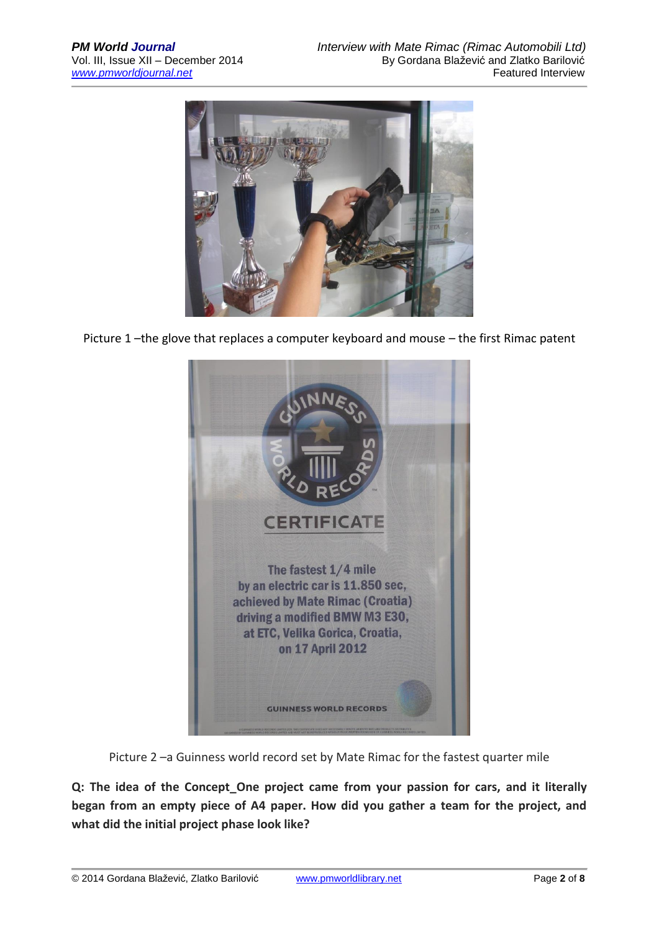

Picture 1 –the glove that replaces a computer keyboard and mouse – the first Rimac patent



Picture 2 –a Guinness world record set by Mate Rimac for the fastest quarter mile

**Q: The idea of the Concept\_One project came from your passion for cars, and it literally began from an empty piece of A4 paper. How did you gather a team for the project, and what did the initial project phase look like?**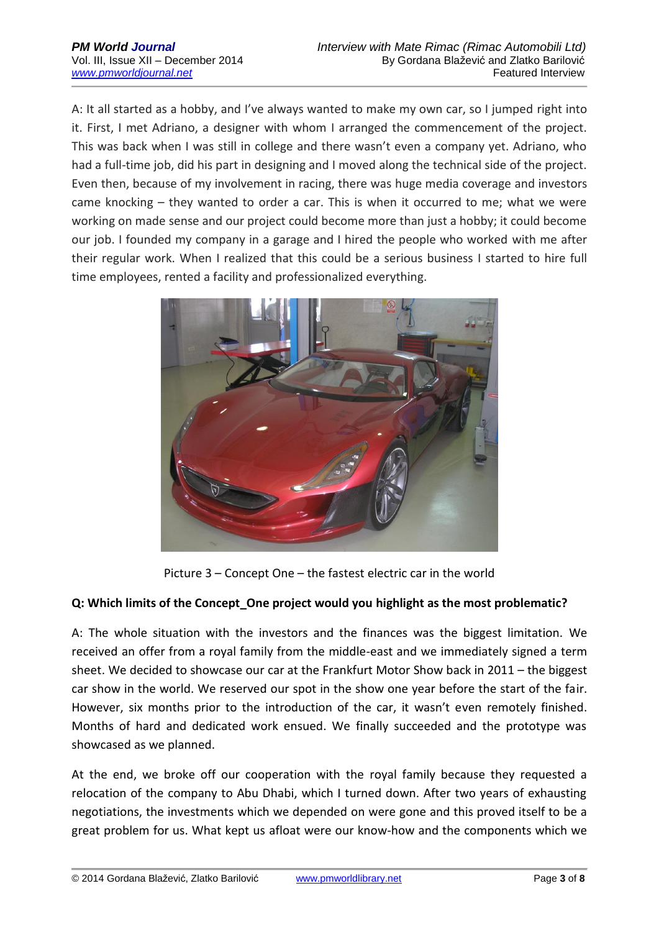A: It all started as a hobby, and I've always wanted to make my own car, so I jumped right into it. First, I met Adriano, a designer with whom I arranged the commencement of the project. This was back when I was still in college and there wasn't even a company yet. Adriano, who had a full-time job, did his part in designing and I moved along the technical side of the project. Even then, because of my involvement in racing, there was huge media coverage and investors came knocking – they wanted to order a car. This is when it occurred to me; what we were working on made sense and our project could become more than just a hobby; it could become our job. I founded my company in a garage and I hired the people who worked with me after their regular work. When I realized that this could be a serious business I started to hire full time employees, rented a facility and professionalized everything.



Picture 3 – Concept One – the fastest electric car in the world

#### **Q: Which limits of the Concept\_One project would you highlight as the most problematic?**

A: The whole situation with the investors and the finances was the biggest limitation. We received an offer from a royal family from the middle-east and we immediately signed a term sheet. We decided to showcase our car at the Frankfurt Motor Show back in 2011 – the biggest car show in the world. We reserved our spot in the show one year before the start of the fair. However, six months prior to the introduction of the car, it wasn't even remotely finished. Months of hard and dedicated work ensued. We finally succeeded and the prototype was showcased as we planned.

At the end, we broke off our cooperation with the royal family because they requested a relocation of the company to Abu Dhabi, which I turned down. After two years of exhausting negotiations, the investments which we depended on were gone and this proved itself to be a great problem for us. What kept us afloat were our know-how and the components which we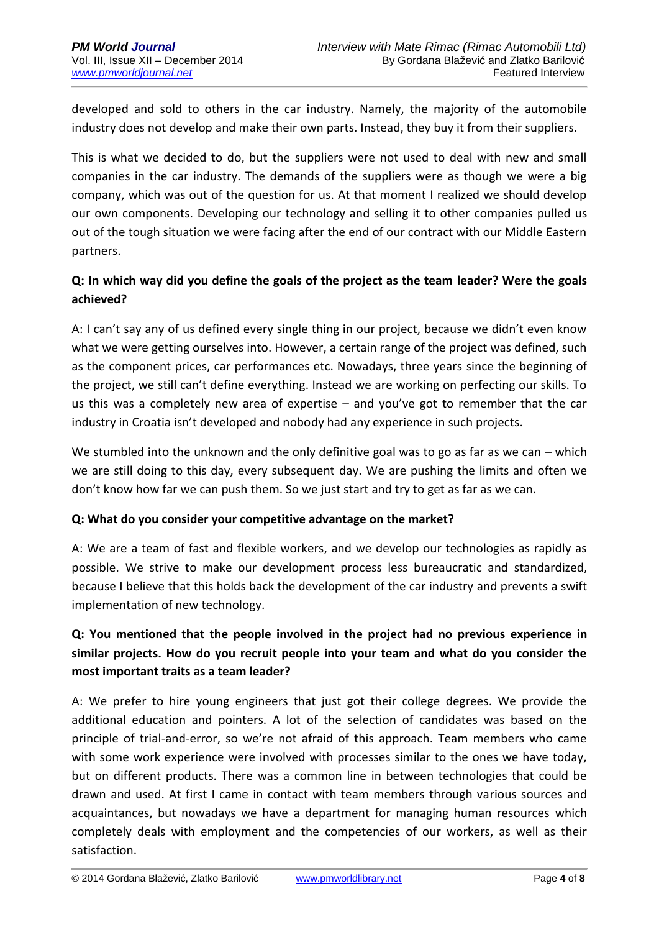developed and sold to others in the car industry. Namely, the majority of the automobile industry does not develop and make their own parts. Instead, they buy it from their suppliers.

This is what we decided to do, but the suppliers were not used to deal with new and small companies in the car industry. The demands of the suppliers were as though we were a big company, which was out of the question for us. At that moment I realized we should develop our own components. Developing our technology and selling it to other companies pulled us out of the tough situation we were facing after the end of our contract with our Middle Eastern partners.

### **Q: In which way did you define the goals of the project as the team leader? Were the goals achieved?**

A: I can't say any of us defined every single thing in our project, because we didn't even know what we were getting ourselves into. However, a certain range of the project was defined, such as the component prices, car performances etc. Nowadays, three years since the beginning of the project, we still can't define everything. Instead we are working on perfecting our skills. To us this was a completely new area of expertise – and you've got to remember that the car industry in Croatia isn't developed and nobody had any experience in such projects.

We stumbled into the unknown and the only definitive goal was to go as far as we can  $-$  which we are still doing to this day, every subsequent day. We are pushing the limits and often we don't know how far we can push them. So we just start and try to get as far as we can.

#### **Q: What do you consider your competitive advantage on the market?**

A: We are a team of fast and flexible workers, and we develop our technologies as rapidly as possible. We strive to make our development process less bureaucratic and standardized, because I believe that this holds back the development of the car industry and prevents a swift implementation of new technology.

## **Q: You mentioned that the people involved in the project had no previous experience in similar projects. How do you recruit people into your team and what do you consider the most important traits as a team leader?**

A: We prefer to hire young engineers that just got their college degrees. We provide the additional education and pointers. A lot of the selection of candidates was based on the principle of trial-and-error, so we're not afraid of this approach. Team members who came with some work experience were involved with processes similar to the ones we have today, but on different products. There was a common line in between technologies that could be drawn and used. At first I came in contact with team members through various sources and acquaintances, but nowadays we have a department for managing human resources which completely deals with employment and the competencies of our workers, as well as their satisfaction.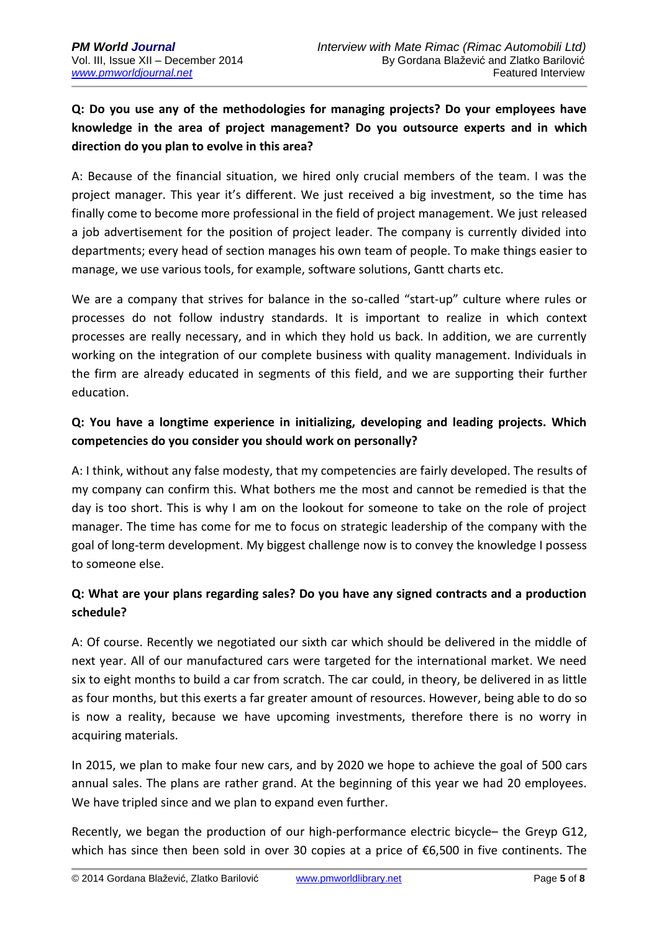## **Q: Do you use any of the methodologies for managing projects? Do your employees have knowledge in the area of project management? Do you outsource experts and in which direction do you plan to evolve in this area?**

A: Because of the financial situation, we hired only crucial members of the team. I was the project manager. This year it's different. We just received a big investment, so the time has finally come to become more professional in the field of project management. We just released a job advertisement for the position of project leader. The company is currently divided into departments; every head of section manages his own team of people. To make things easier to manage, we use various tools, for example, software solutions, Gantt charts etc.

We are a company that strives for balance in the so-called "start-up" culture where rules or processes do not follow industry standards. It is important to realize in which context processes are really necessary, and in which they hold us back. In addition, we are currently working on the integration of our complete business with quality management. Individuals in the firm are already educated in segments of this field, and we are supporting their further education.

### **Q: You have a longtime experience in initializing, developing and leading projects. Which competencies do you consider you should work on personally?**

A: I think, without any false modesty, that my competencies are fairly developed. The results of my company can confirm this. What bothers me the most and cannot be remedied is that the day is too short. This is why I am on the lookout for someone to take on the role of project manager. The time has come for me to focus on strategic leadership of the company with the goal of long-term development. My biggest challenge now is to convey the knowledge I possess to someone else.

## **Q: What are your plans regarding sales? Do you have any signed contracts and a production schedule?**

A: Of course. Recently we negotiated our sixth car which should be delivered in the middle of next year. All of our manufactured cars were targeted for the international market. We need six to eight months to build a car from scratch. The car could, in theory, be delivered in as little as four months, but this exerts a far greater amount of resources. However, being able to do so is now a reality, because we have upcoming investments, therefore there is no worry in acquiring materials.

In 2015, we plan to make four new cars, and by 2020 we hope to achieve the goal of 500 cars annual sales. The plans are rather grand. At the beginning of this year we had 20 employees. We have tripled since and we plan to expand even further.

Recently, we began the production of our high-performance electric bicycle– the Greyp G12, which has since then been sold in over 30 copies at a price of €6,500 in five continents. The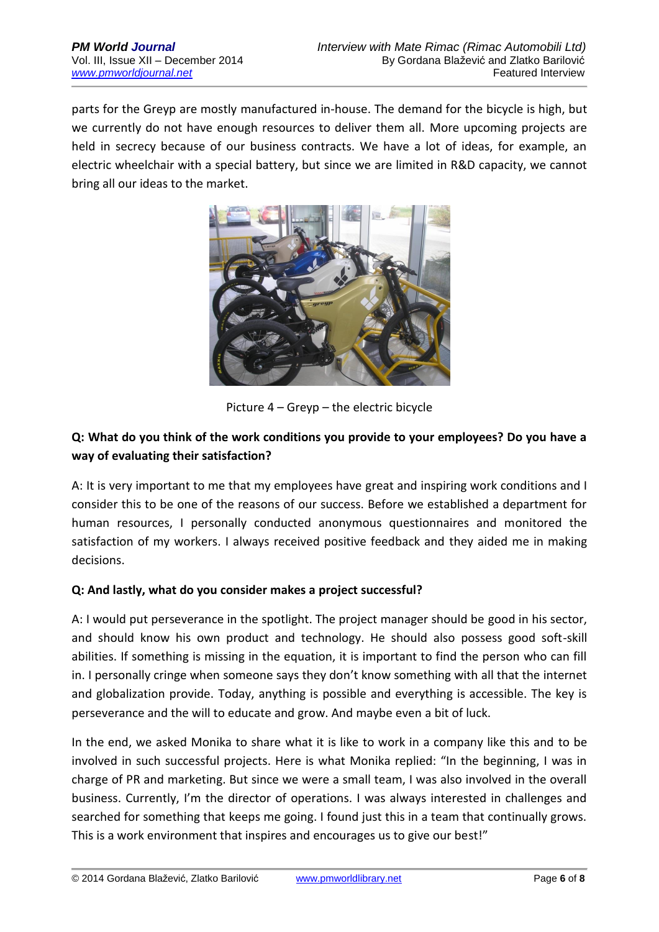parts for the Greyp are mostly manufactured in-house. The demand for the bicycle is high, but we currently do not have enough resources to deliver them all. More upcoming projects are held in secrecy because of our business contracts. We have a lot of ideas, for example, an electric wheelchair with a special battery, but since we are limited in R&D capacity, we cannot bring all our ideas to the market.



Picture 4 – Greyp – the electric bicycle

### **Q: What do you think of the work conditions you provide to your employees? Do you have a way of evaluating their satisfaction?**

A: It is very important to me that my employees have great and inspiring work conditions and I consider this to be one of the reasons of our success. Before we established a department for human resources, I personally conducted anonymous questionnaires and monitored the satisfaction of my workers. I always received positive feedback and they aided me in making decisions.

#### **Q: And lastly, what do you consider makes a project successful?**

A: I would put perseverance in the spotlight. The project manager should be good in his sector, and should know his own product and technology. He should also possess good soft-skill abilities. If something is missing in the equation, it is important to find the person who can fill in. I personally cringe when someone says they don't know something with all that the internet and globalization provide. Today, anything is possible and everything is accessible. The key is perseverance and the will to educate and grow. And maybe even a bit of luck.

In the end, we asked Monika to share what it is like to work in a company like this and to be involved in such successful projects. Here is what Monika replied: "In the beginning, I was in charge of PR and marketing. But since we were a small team, I was also involved in the overall business. Currently, I'm the director of operations. I was always interested in challenges and searched for something that keeps me going. I found just this in a team that continually grows. This is a work environment that inspires and encourages us to give our best!"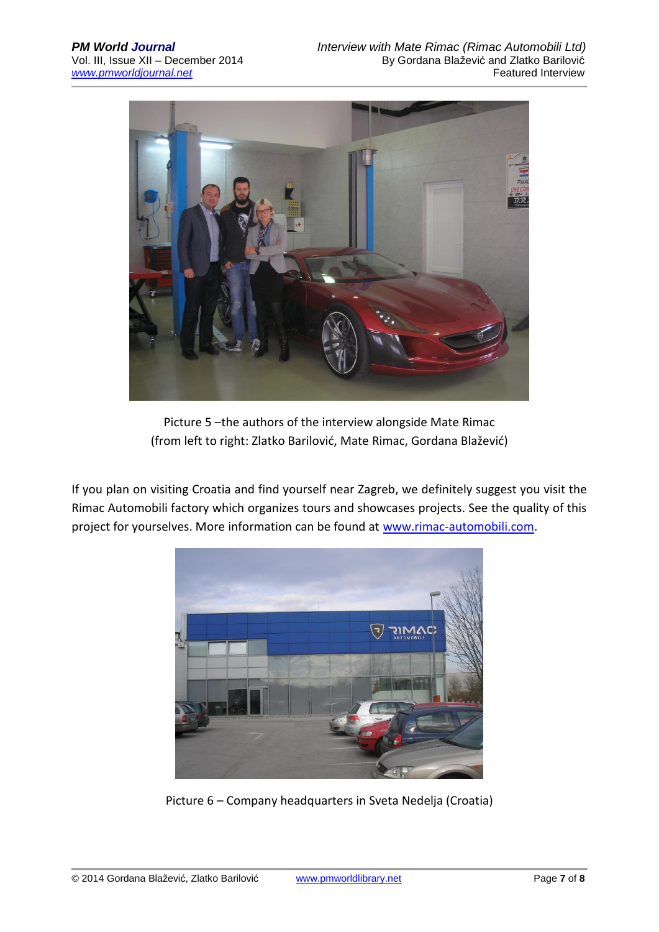

Picture 5 –the authors of the interview alongside Mate Rimac (from left to right: Zlatko Barilović, Mate Rimac, Gordana Blažević)

If you plan on visiting Croatia and find yourself near Zagreb, we definitely suggest you visit the Rimac Automobili factory which organizes tours and showcases projects. See the quality of this project for yourselves. More information can be found at [www.rimac-automobili.com.](http://www.rimac-automobili.com/)



Picture 6 – Company headquarters in Sveta Nedelja (Croatia)